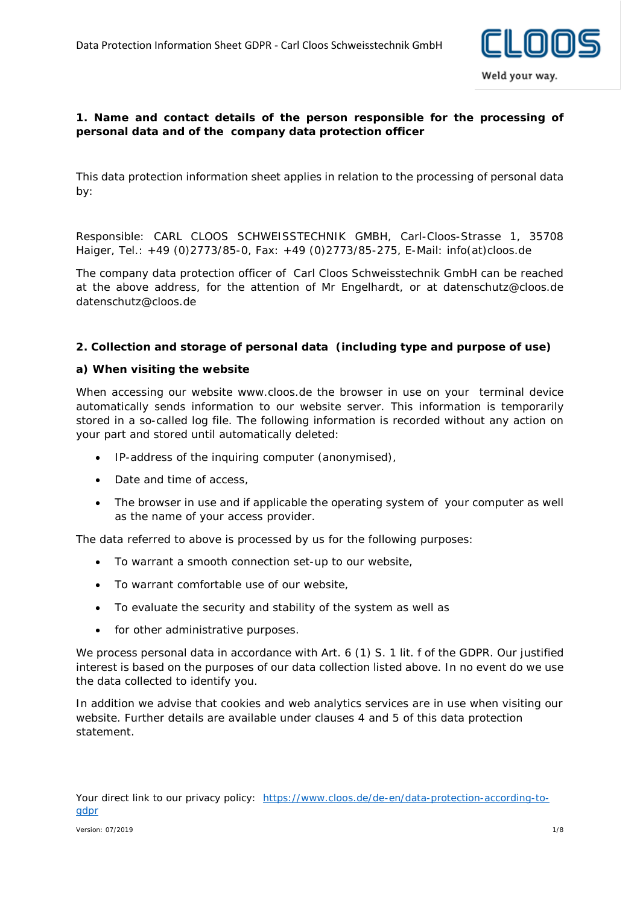

## **1. Name and contact details of the person responsible for the processing of personal data and of the company data protection officer**

This data protection information sheet applies in relation to the processing of personal data by:

Responsible: CARL CLOOS SCHWEISSTECHNIK GMBH, Carl-Cloos-Strasse 1, 35708 Haiger, Tel.: +49 (0)2773/85-0, Fax: +49 (0)2773/85-275, E-Mail: info(at)cloos.de

The company data protection officer of Carl Cloos Schweisstechnik GmbH can be reached at the above address, for the attention of Mr Engelhardt, or at datenschutz@cloos.de datenschutz@cloos.de

### **2. Collection and storage of personal data (including type and purpose of use)**

### **a) When visiting the website**

When accessing our website www.cloos.de the browser in use on your terminal device automatically sends information to our website server. This information is temporarily stored in a so-called log file. The following information is recorded without any action on your part and stored until automatically deleted:

- IP-address of the inquiring computer (anonymised),
- Date and time of access,
- The browser in use and if applicable the operating system of your computer as well as the name of your access provider.

The data referred to above is processed by us for the following purposes:

- To warrant a smooth connection set-up to our website,
- To warrant comfortable use of our website,
- To evaluate the security and stability of the system as well as
- for other administrative purposes.

We process personal data in accordance with Art. 6 (1) S. 1 lit. f of the GDPR. Our justified interest is based on the purposes of our data collection listed above. In no event do we use the data collected to identify you.

In addition we advise that cookies and web analytics services are in use when visiting our website. Further details are available under clauses 4 and 5 of this data protection statement.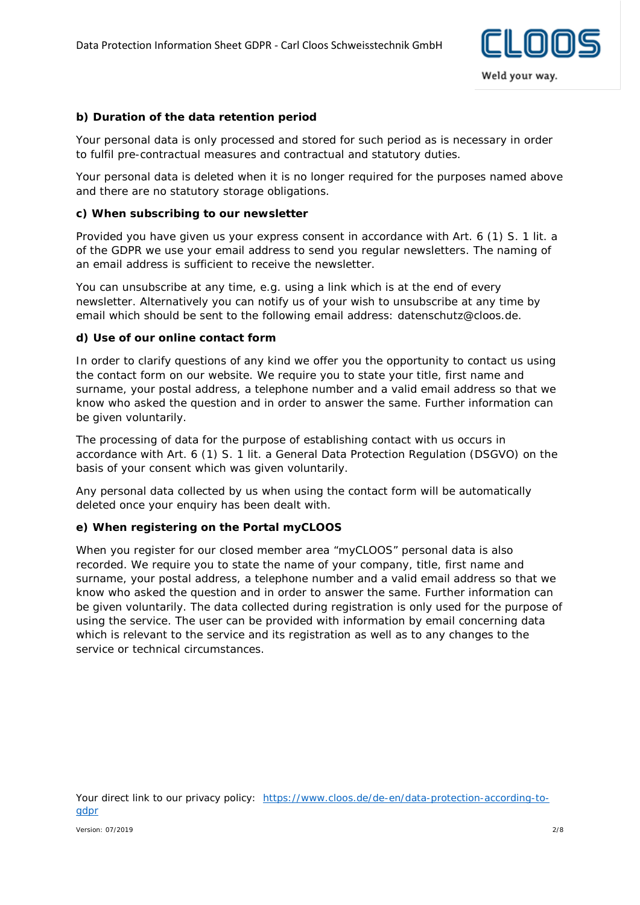

### **b) Duration of the data retention period**

Your personal data is only processed and stored for such period as is necessary in order to fulfil pre-contractual measures and contractual and statutory duties.

Your personal data is deleted when it is no longer required for the purposes named above and there are no statutory storage obligations.

#### **c) When subscribing to our newsletter**

Provided you have given us your express consent in accordance with Art. 6 (1) S. 1 lit. a of the GDPR we use your email address to send you regular newsletters. The naming of an email address is sufficient to receive the newsletter.

You can unsubscribe at any time, e.g. using a link which is at the end of every newsletter. Alternatively you can notify us of your wish to unsubscribe at any time by email which should be sent to the following email address: datenschutz@cloos.de.

#### **d) Use of our online contact form**

In order to clarify questions of any kind we offer you the opportunity to contact us using the contact form on our website. We require you to state your title, first name and surname, your postal address, a telephone number and a valid email address so that we know who asked the question and in order to answer the same. Further information can be given voluntarily.

The processing of data for the purpose of establishing contact with us occurs in accordance with Art. 6 (1) S. 1 lit. a General Data Protection Regulation (DSGVO) on the basis of your consent which was given voluntarily.

Any personal data collected by us when using the contact form will be automatically deleted once your enquiry has been dealt with.

### **e) When registering on the Portal myCLOOS**

When you register for our closed member area "myCLOOS" personal data is also recorded. We require you to state the name of your company, title, first name and surname, your postal address, a telephone number and a valid email address so that we know who asked the question and in order to answer the same. Further information can be given voluntarily. The data collected during registration is only used for the purpose of using the service. The user can be provided with information by email concerning data which is relevant to the service and its registration as well as to any changes to the service or technical circumstances.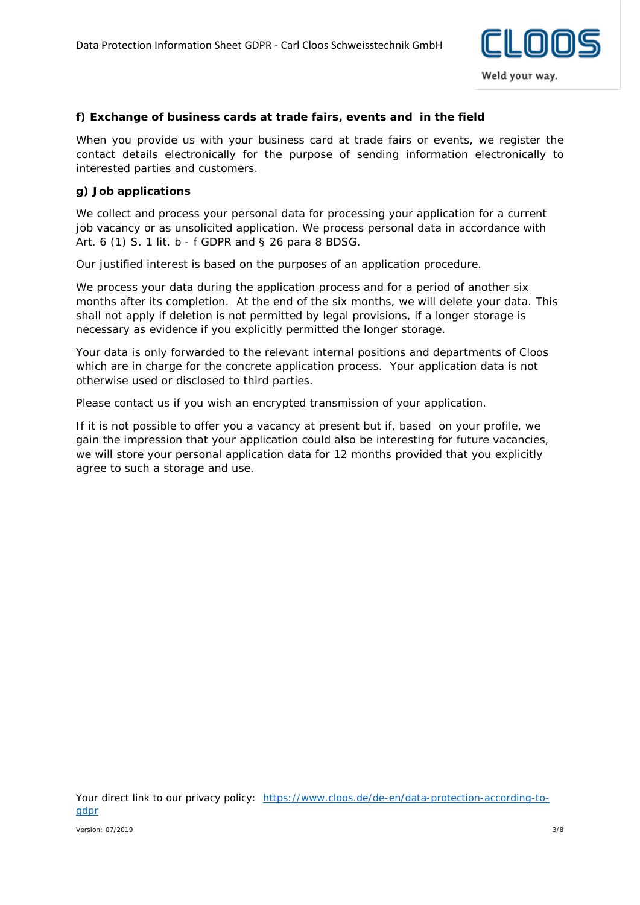

### **f) Exchange of business cards at trade fairs, events and in the field**

When you provide us with your business card at trade fairs or events, we register the contact details electronically for the purpose of sending information electronically to interested parties and customers.

### **g) Job applications**

We collect and process your personal data for processing your application for a current job vacancy or as unsolicited application. We process personal data in accordance with Art. 6 (1) S. 1 lit. b - f GDPR and § 26 para 8 BDSG.

Our justified interest is based on the purposes of an application procedure.

We process your data during the application process and for a period of another six months after its completion. At the end of the six months, we will delete your data. This shall not apply if deletion is not permitted by legal provisions, if a longer storage is necessary as evidence if you explicitly permitted the longer storage.

Your data is only forwarded to the relevant internal positions and departments of Cloos which are in charge for the concrete application process. Your application data is not otherwise used or disclosed to third parties.

Please contact us if you wish an encrypted transmission of your application.

If it is not possible to offer you a vacancy at present but if, based on your profile, we gain the impression that your application could also be interesting for future vacancies, we will store your personal application data for 12 months provided that you explicitly agree to such a storage and use.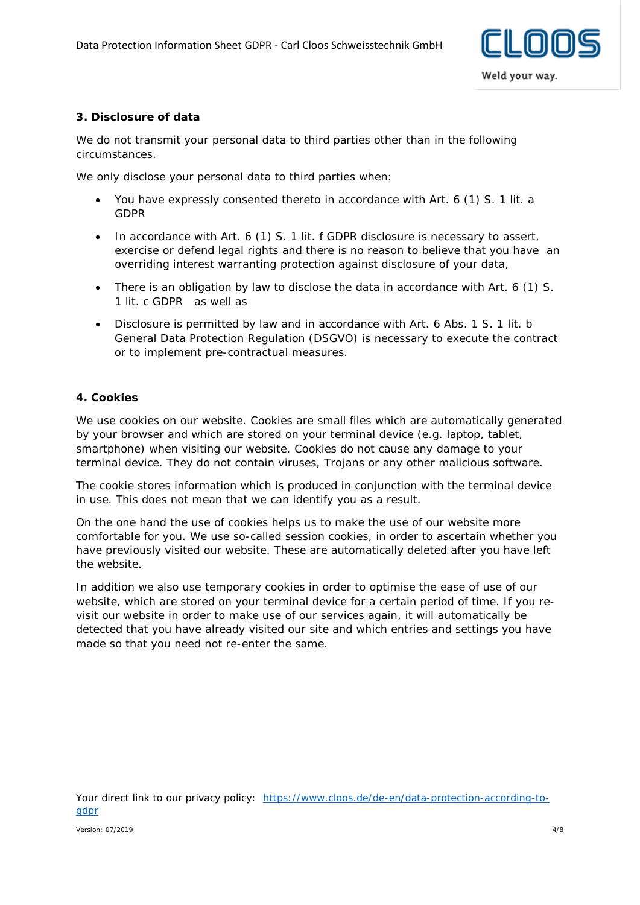

### **3. Disclosure of data**

We do not transmit your personal data to third parties other than in the following circumstances.

We only disclose your personal data to third parties when:

- You have expressly consented thereto in accordance with Art. 6 (1) S. 1 lit. a GDPR
- In accordance with Art. 6 (1) S. 1 lit. f GDPR disclosure is necessary to assert, exercise or defend legal rights and there is no reason to believe that you have an overriding interest warranting protection against disclosure of your data,
- There is an obligation by law to disclose the data in accordance with Art. 6 (1) S. 1 lit. c GDPR as well as
- Disclosure is permitted by law and in accordance with Art. 6 Abs. 1 S. 1 lit. b General Data Protection Regulation (DSGVO) is necessary to execute the contract or to implement pre-contractual measures.

### **4. Cookies**

We use cookies on our website. Cookies are small files which are automatically generated by your browser and which are stored on your terminal device (e.g. laptop, tablet, smartphone) when visiting our website. Cookies do not cause any damage to your terminal device. They do not contain viruses, Trojans or any other malicious software.

The cookie stores information which is produced in conjunction with the terminal device in use. This does not mean that we can identify you as a result.

On the one hand the use of cookies helps us to make the use of our website more comfortable for you. We use so-called session cookies, in order to ascertain whether you have previously visited our website. These are automatically deleted after you have left the website.

In addition we also use temporary cookies in order to optimise the ease of use of our website, which are stored on your terminal device for a certain period of time. If you revisit our website in order to make use of our services again, it will automatically be detected that you have already visited our site and which entries and settings you have made so that you need not re-enter the same.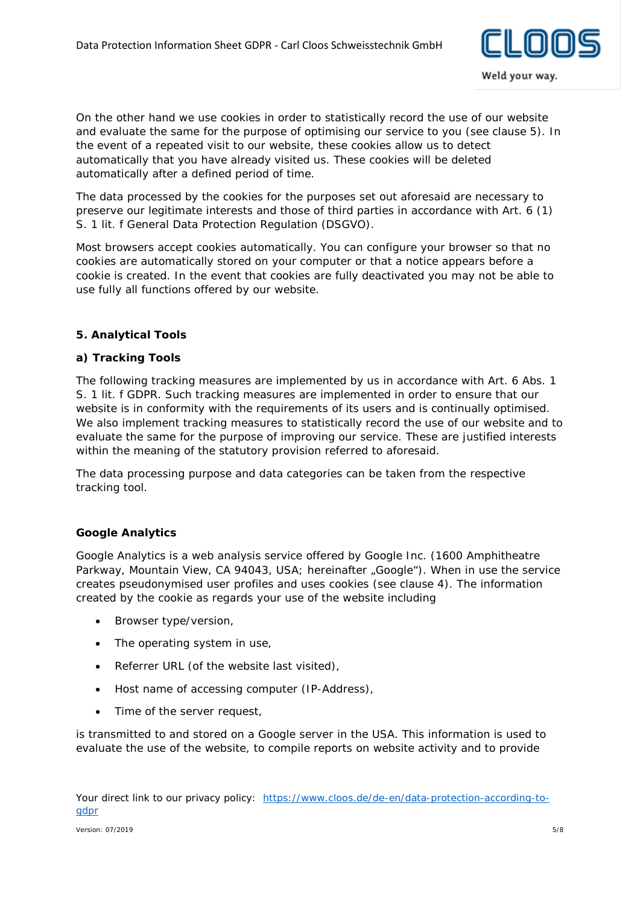

On the other hand we use cookies in order to statistically record the use of our website and evaluate the same for the purpose of optimising our service to you (see clause 5). In the event of a repeated visit to our website, these cookies allow us to detect automatically that you have already visited us. These cookies will be deleted automatically after a defined period of time.

The data processed by the cookies for the purposes set out aforesaid are necessary to preserve our legitimate interests and those of third parties in accordance with Art. 6 (1) S. 1 lit. f General Data Protection Regulation (DSGVO).

Most browsers accept cookies automatically. You can configure your browser so that no cookies are automatically stored on your computer or that a notice appears before a cookie is created. In the event that cookies are fully deactivated you may not be able to use fully all functions offered by our website.

### **5. Analytical Tools**

### **a) Tracking Tools**

The following tracking measures are implemented by us in accordance with Art. 6 Abs. 1 S. 1 lit. f GDPR. Such tracking measures are implemented in order to ensure that our website is in conformity with the requirements of its users and is continually optimised. We also implement tracking measures to statistically record the use of our website and to evaluate the same for the purpose of improving our service. These are justified interests within the meaning of the statutory provision referred to aforesaid.

The data processing purpose and data categories can be taken from the respective tracking tool.

### **Google Analytics**

Google Analytics is a web analysis service offered by Google Inc. (1600 Amphitheatre Parkway, Mountain View, CA 94043, USA; hereinafter "Google"). When in use the service creates pseudonymised user profiles and uses cookies (see clause 4). The information created by the cookie as regards your use of the website including

- Browser type/version,
- The operating system in use,
- Referrer URL (of the website last visited),
- Host name of accessing computer (IP-Address),
- Time of the server request,

is transmitted to and stored on a Google server in the USA. This information is used to evaluate the use of the website, to compile reports on website activity and to provide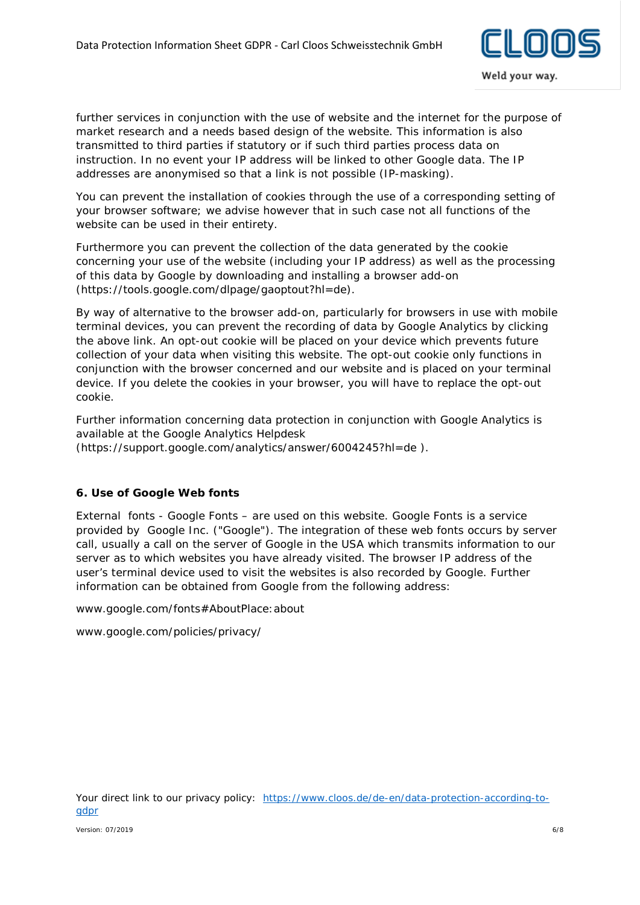

further services in conjunction with the use of website and the internet for the purpose of market research and a needs based design of the website. This information is also transmitted to third parties if statutory or if such third parties process data on instruction. In no event your IP address will be linked to other Google data. The IP addresses are anonymised so that a link is not possible (IP-masking).

You can prevent the installation of cookies through the use of a corresponding setting of your browser software; we advise however that in such case not all functions of the website can be used in their entirety.

Furthermore you can prevent the collection of the data generated by the cookie concerning your use of the website (including your IP address) as well as the processing of this data by Google by downloading and installing a browser add-on (https://tools.google.com/dlpage/gaoptout?hl=de).

By way of alternative to the browser add-on, particularly for browsers in use with mobile terminal devices, you can prevent the recording of data by Google Analytics by clicking the above link. An opt-out cookie will be placed on your device which prevents future collection of your data when visiting this website. The opt-out cookie only functions in conjunction with the browser concerned and our website and is placed on your terminal device. If you delete the cookies in your browser, you will have to replace the opt-out cookie.

Further information concerning data protection in conjunction with Google Analytics is available at the Google Analytics Helpdesk [\(https://support.google.com/analytics/answer/6004245?hl=de \)](https://support.google.com/analytics/answer/6004245?hl=de).

## **6. Use of Google Web fonts**

External fonts - Google Fonts – are used on this website. Google Fonts is a service provided by Google Inc. ("Google"). The integration of these web fonts occurs by server call, usually a call on the server of Google in the USA which transmits information to our server as to which websites you have already visited. The browser IP address of the user's terminal device used to visit the websites is also recorded by Google. Further information can be obtained from Google from the following address:

www.google.com/fonts#AboutPlace:about

www.google.com/policies/privacy/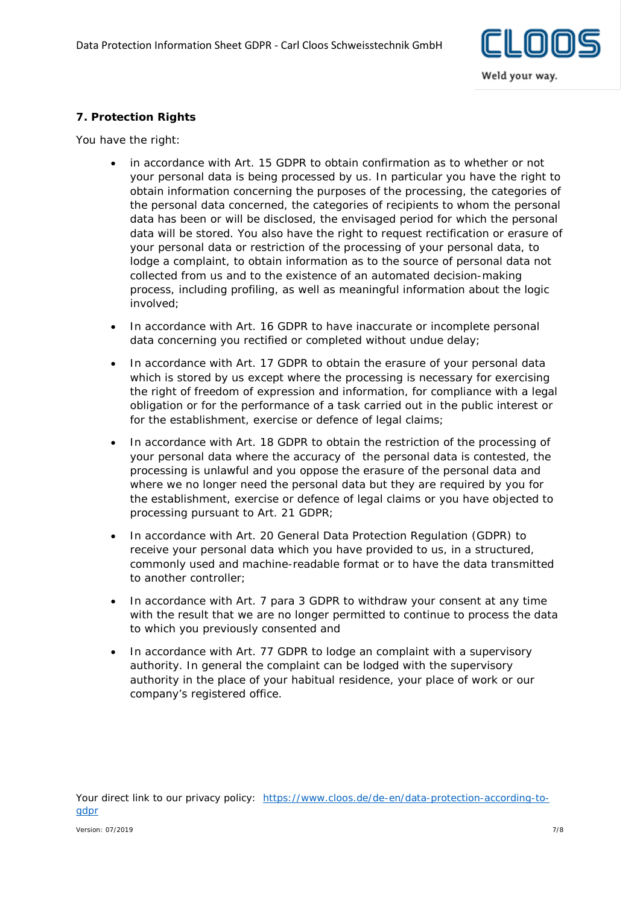

# **7. Protection Rights**

You have the right:

- in accordance with Art. 15 GDPR to obtain confirmation as to whether or not your personal data is being processed by us. In particular you have the right to obtain information concerning the purposes of the processing, the categories of the personal data concerned, the categories of recipients to whom the personal data has been or will be disclosed, the envisaged period for which the personal data will be stored. You also have the right to request rectification or erasure of your personal data or restriction of the processing of your personal data, to lodge a complaint, to obtain information as to the source of personal data not collected from us and to the existence of an automated decision-making process, including profiling, as well as meaningful information about the logic involved;
- In accordance with Art. 16 GDPR to have inaccurate or incomplete personal data concerning you rectified or completed without undue delay;
- In accordance with Art. 17 GDPR to obtain the erasure of your personal data which is stored by us except where the processing is necessary for exercising the right of freedom of expression and information, for compliance with a legal obligation or for the performance of a task carried out in the public interest or for the establishment, exercise or defence of legal claims;
- In accordance with Art. 18 GDPR to obtain the restriction of the processing of your personal data where the accuracy of the personal data is contested, the processing is unlawful and you oppose the erasure of the personal data and where we no longer need the personal data but they are required by you for the establishment, exercise or defence of legal claims or you have objected to processing pursuant to Art. 21 GDPR;
- In accordance with Art. 20 General Data Protection Regulation (GDPR) to receive your personal data which you have provided to us, in a structured, commonly used and machine-readable format or to have the data transmitted to another controller;
- In accordance with Art. 7 para 3 GDPR to withdraw your consent at any time with the result that we are no longer permitted to continue to process the data to which you previously consented and
- In accordance with Art. 77 GDPR to lodge an complaint with a supervisory authority. In general the complaint can be lodged with the supervisory authority in the place of your habitual residence, your place of work or our company's registered office.